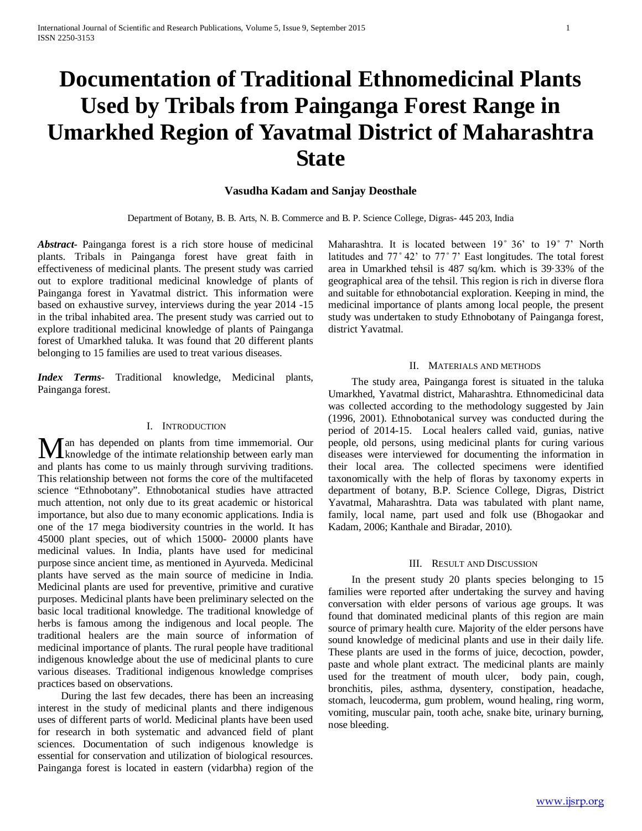# **Documentation of Traditional Ethnomedicinal Plants Used by Tribals from Painganga Forest Range in Umarkhed Region of Yavatmal District of Maharashtra State**

## **Vasudha Kadam and Sanjay Deosthale**

Department of Botany, B. B. Arts, N. B. Commerce and B. P. Science College, Digras- 445 203, India

*Abstract***-** Painganga forest is a rich store house of medicinal plants. Tribals in Painganga forest have great faith in effectiveness of medicinal plants. The present study was carried out to explore traditional medicinal knowledge of plants of Painganga forest in Yavatmal district. This information were based on exhaustive survey, interviews during the year 2014 -15 in the tribal inhabited area. The present study was carried out to explore traditional medicinal knowledge of plants of Painganga forest of Umarkhed taluka. It was found that 20 different plants belonging to 15 families are used to treat various diseases.

*Index Terms*- Traditional knowledge, Medicinal plants, Painganga forest.

## I. INTRODUCTION

**T** an has depended on plants from time immemorial. Our Man has depended on plants from time immemorial. Our knowledge of the intimate relationship between early man and plants has come to us mainly through surviving traditions. This relationship between not forms the core of the multifaceted science "Ethnobotany". Ethnobotanical studies have attracted much attention, not only due to its great academic or historical importance, but also due to many economic applications. India is one of the 17 mega biodiversity countries in the world. It has 45000 plant species, out of which 15000- 20000 plants have medicinal values. In India, plants have used for medicinal purpose since ancient time, as mentioned in Ayurveda. Medicinal plants have served as the main source of medicine in India. Medicinal plants are used for preventive, primitive and curative purposes. Medicinal plants have been preliminary selected on the basic local traditional knowledge. The traditional knowledge of herbs is famous among the indigenous and local people. The traditional healers are the main source of information of medicinal importance of plants. The rural people have traditional indigenous knowledge about the use of medicinal plants to cure various diseases. Traditional indigenous knowledge comprises practices based on observations.

 During the last few decades, there has been an increasing interest in the study of medicinal plants and there indigenous uses of different parts of world. Medicinal plants have been used for research in both systematic and advanced field of plant sciences. Documentation of such indigenous knowledge is essential for conservation and utilization of biological resources. Painganga forest is located in eastern (vidarbha) region of the Maharashtra. It is located between 19° 36' to 19° 7' North latitudes and 77° 42' to 77° 7' East longitudes. The total forest area in Umarkhed tehsil is 487 sq/km. which is 39·33% of the geographical area of the tehsil. This region is rich in diverse flora and suitable for ethnobotancial exploration. Keeping in mind, the medicinal importance of plants among local people, the present study was undertaken to study Ethnobotany of Painganga forest, district Yavatmal.

#### II. MATERIALS AND METHODS

 The study area, Painganga forest is situated in the taluka Umarkhed, Yavatmal district, Maharashtra. Ethnomedicinal data was collected according to the methodology suggested by Jain (1996, 2001). Ethnobotanical survey was conducted during the period of 2014-15. Local healers called vaid, gunias, native people, old persons, using medicinal plants for curing various diseases were interviewed for documenting the information in their local area. The collected specimens were identified taxonomically with the help of floras by taxonomy experts in department of botany, B.P. Science College, Digras, District Yavatmal, Maharashtra. Data was tabulated with plant name, family, local name, part used and folk use (Bhogaokar and Kadam, 2006; Kanthale and Biradar, 2010).

## III. RESULT AND DISCUSSION

 In the present study 20 plants species belonging to 15 families were reported after undertaking the survey and having conversation with elder persons of various age groups. It was found that dominated medicinal plants of this region are main source of primary health cure. Majority of the elder persons have sound knowledge of medicinal plants and use in their daily life. These plants are used in the forms of juice, decoction, powder, paste and whole plant extract. The medicinal plants are mainly used for the treatment of mouth ulcer, body pain, cough, bronchitis, piles, asthma, dysentery, constipation, headache, stomach, leucoderma, gum problem, wound healing, ring worm, vomiting, muscular pain, tooth ache, snake bite, urinary burning, nose bleeding.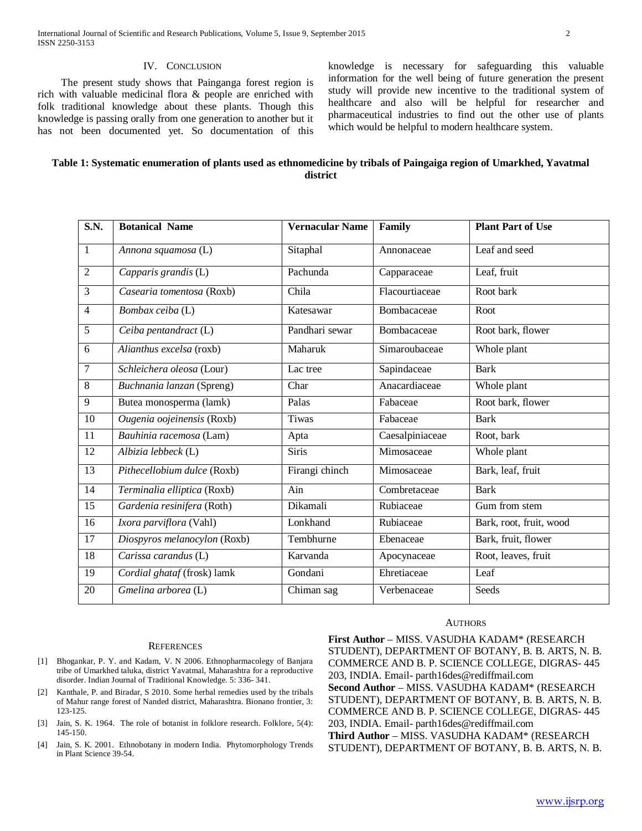#### IV. CONCLUSION

 The present study shows that Painganga forest region is rich with valuable medicinal flora & people are enriched with folk traditional knowledge about these plants. Though this knowledge is passing orally from one generation to another but it has not been documented yet. So documentation of this knowledge is necessary for safeguarding this valuable information for the well being of future generation the present study will provide new incentive to the traditional system of healthcare and also will be helpful for researcher and pharmaceutical industries to find out the other use of plants which would be helpful to modern healthcare system.

| Table 1: Systematic enumeration of plants used as ethnomedicine by tribals of Paingaiga region of Umarkhed, Yavatmal |  |
|----------------------------------------------------------------------------------------------------------------------|--|
| district                                                                                                             |  |

| S.N.            | <b>Botanical Name</b>        | <b>Vernacular Name</b> | Family          | <b>Plant Part of Use</b> |
|-----------------|------------------------------|------------------------|-----------------|--------------------------|
| $\mathbf{1}$    |                              |                        |                 | Leaf and seed            |
|                 | Annona squamosa (L)          | Sitaphal               | Annonaceae      |                          |
| $\overline{2}$  | Capparis grandis (L)         | Pachunda               | Capparaceae     | Leaf, fruit              |
| $\overline{3}$  | Casearia tomentosa (Roxb)    | Chila                  | Flacourtiaceae  | Root bark                |
| $\overline{4}$  | Bombax ceiba (L)             | Katesawar              | Bombacaceae     | Root                     |
| 5               | Ceiba pentandract (L)        | Pandhari sewar         | Bombacaceae     | Root bark, flower        |
| 6               | Alianthus excelsa (roxb)     | Maharuk                | Simaroubaceae   | Whole plant              |
| $\overline{7}$  | Schleichera oleosa (Lour)    | Lac tree               | Sapindaceae     | <b>Bark</b>              |
| $\overline{8}$  | Buchnania lanzan (Spreng)    | Char                   | Anacardiaceae   | Whole plant              |
| 9               | Butea monosperma (lamk)      | Palas                  | Fabaceae        | Root bark, flower        |
| $\overline{10}$ | Ougenia oojeinensis (Roxb)   | <b>Tiwas</b>           | Fabaceae        | <b>Bark</b>              |
| 11              | Bauhinia racemosa (Lam)      | Apta                   | Caesalpiniaceae | Root, bark               |
| $\overline{12}$ | Albizia lebbeck (L)          | <b>Siris</b>           | Mimosaceae      | Whole plant              |
| $\overline{13}$ | Pithecellobium dulce (Roxb)  | Firangi chinch         | Mimosaceae      | Bark, leaf, fruit        |
| 14              | Terminalia elliptica (Roxb)  | Ain                    | Combretaceae    | <b>Bark</b>              |
| $\overline{15}$ | Gardenia resinifera (Roth)   | Dikamali               | Rubiaceae       | Gum from stem            |
| 16              | Ixora parviflora (Vahl)      | Lonkhand               | Rubiaceae       | Bark, root, fruit, wood  |
| $\overline{17}$ | Diospyros melanocylon (Roxb) | Tembhurne              | Ebenaceae       | Bark, fruit, flower      |
| 18              | Carissa carandus (L)         | Karvanda               | Apocynaceae     | Root, leaves, fruit      |
| 19              | Cordial ghataf (frosk) lamk  | Gondani                | Ehretiaceae     | Leaf                     |
| 20              | $Gmelina$ arborea (L)        | Chiman sag             | Verbenaceae     | Seeds                    |

#### **REFERENCES**

- [1] Bhogankar, P. Y. and Kadam, V. N 2006. Ethnopharmacolegy of Banjara tribe of Umarkhed taluka, district Yavatmal, Maharashtra for a reproductive disorder. Indian Journal of Traditional Knowledge. 5: 336- 341.
- [2] Kanthale, P. and Biradar, S 2010. Some herbal remedies used by the tribals of Mahur range forest of Nanded district, Maharashtra. Bionano frontier, 3: 123-125.
- [3] Jain, S. K. 1964. The role of botanist in folklore research. Folklore, 5(4): 145-150.
- [4] Jain, S. K. 2001. Ethnobotany in modern India. Phytomorphology Trends in Plant Science 39-54.

#### AUTHORS

**First Author** – MISS. VASUDHA KADAM\* (RESEARCH STUDENT), DEPARTMENT OF BOTANY, B. B. ARTS, N. B. COMMERCE AND B. P. SCIENCE COLLEGE, DIGRAS- 445 203, INDIA. Email- parth16des@rediffmail.com **Second Author** – MISS. VASUDHA KADAM\* (RESEARCH STUDENT), DEPARTMENT OF BOTANY, B. B. ARTS, N. B. COMMERCE AND B. P. SCIENCE COLLEGE, DIGRAS- 445 203, INDIA. Email- parth16des@rediffmail.com **Third Author** – MISS. VASUDHA KADAM\* (RESEARCH STUDENT), DEPARTMENT OF BOTANY, B. B. ARTS, N. B.